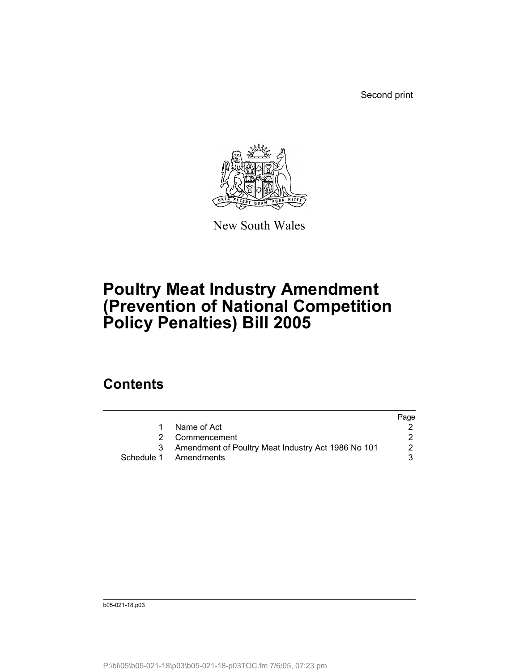Second print



New South Wales

# **Poultry Meat Industry Amendment (Prevention of National Competition Policy Penalties) Bill 2005**

## **Contents**

|                                                    | Page |
|----------------------------------------------------|------|
| Name of Act                                        |      |
| 2 Commencement                                     |      |
| Amendment of Poultry Meat Industry Act 1986 No 101 |      |
| Schedule 1 Amendments                              |      |
|                                                    |      |

b05-021-18.p03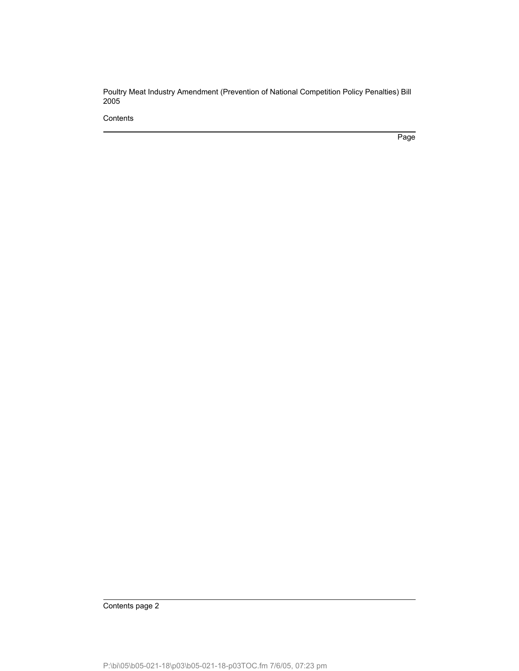**Contents** 

Page

Contents page 2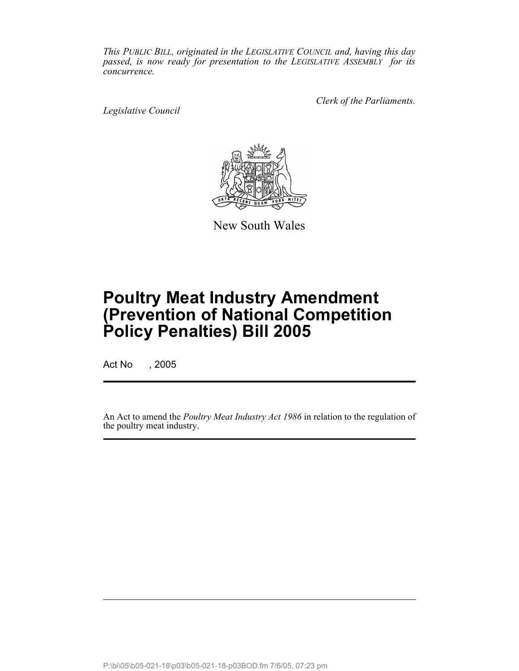*This PUBLIC BILL, originated in the LEGISLATIVE COUNCIL and, having this day passed, is now ready for presentation to the LEGISLATIVE ASSEMBLY for its concurrence.*

*Legislative Council*

*Clerk of the Parliaments.*



New South Wales

# **Poultry Meat Industry Amendment (Prevention of National Competition Policy Penalties) Bill 2005**

Act No , 2005

An Act to amend the *Poultry Meat Industry Act 1986* in relation to the regulation of the poultry meat industry.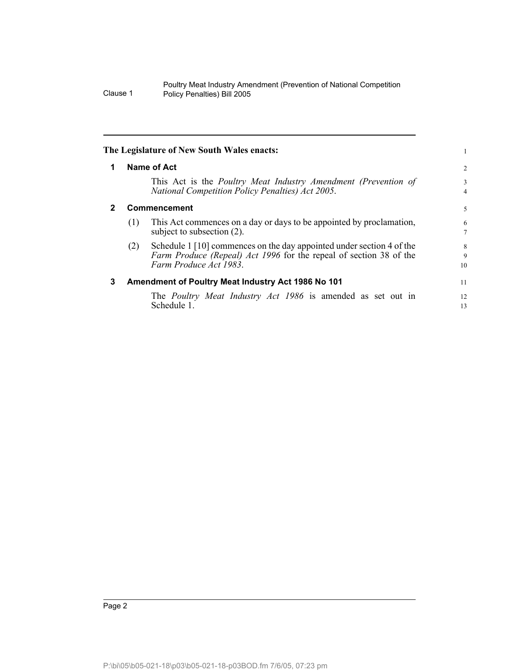<span id="page-3-1"></span><span id="page-3-0"></span>

|              |     | The Legislature of New South Wales enacts:                                                                                                                                   |                     |
|--------------|-----|------------------------------------------------------------------------------------------------------------------------------------------------------------------------------|---------------------|
| 1            |     | Name of Act                                                                                                                                                                  | $\overline{2}$      |
|              |     | This Act is the <i>Poultry Meat Industry Amendment (Prevention of</i><br>National Competition Policy Penalties) Act 2005.                                                    | 3<br>$\overline{4}$ |
| $\mathbf{2}$ |     | <b>Commencement</b>                                                                                                                                                          | 5                   |
|              | (1) | This Act commences on a day or days to be appointed by proclamation,<br>subject to subsection (2).                                                                           | 6<br>$\overline{7}$ |
|              | (2) | Schedule 1 [10] commences on the day appointed under section 4 of the<br><i>Farm Produce (Repeal) Act 1996</i> for the repeal of section 38 of the<br>Farm Produce Act 1983. | 8<br>9<br>10        |
| 3            |     | Amendment of Poultry Meat Industry Act 1986 No 101                                                                                                                           | 11                  |
|              |     | The <i>Poultry Meat Industry Act 1986</i> is amended as set out in<br>Schedule 1.                                                                                            | 12<br>13            |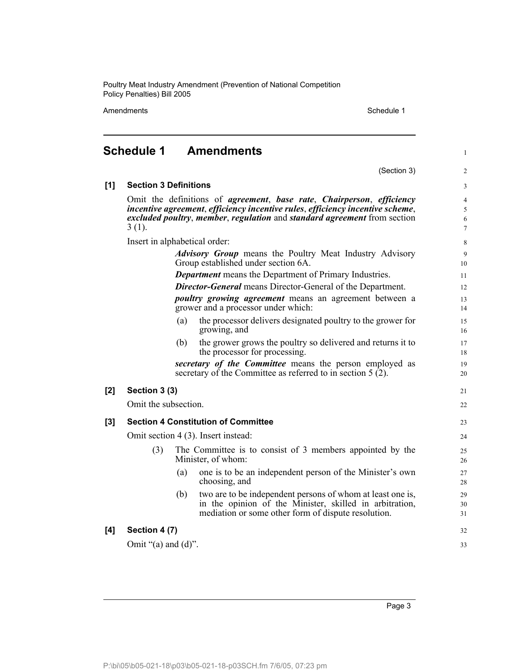Amendments Schedule 1

1

### <span id="page-4-0"></span>**Schedule 1 Amendments**

(Section 3) **[1] Section 3 Definitions** Omit the definitions of *agreement*, *base rate*, *Chairperson*, *efficiency incentive agreement*, *efficiency incentive rules*, *efficiency incentive scheme*, *excluded poultry*, *member*, *regulation* and *standard agreement* from section 3 (1). Insert in alphabetical order: *Advisory Group* means the Poultry Meat Industry Advisory Group established under section 6A. *Department* means the Department of Primary Industries. *Director-General* means Director-General of the Department. *poultry growing agreement* means an agreement between a grower and a processor under which: (a) the processor delivers designated poultry to the grower for growing, and (b) the grower grows the poultry so delivered and returns it to the processor for processing. *secretary of the Committee* means the person employed as secretary of the Committee as referred to in section 5 (2). **[2] Section 3 (3)** Omit the subsection. **[3] Section 4 Constitution of Committee** Omit section 4 (3). Insert instead: (3) The Committee is to consist of 3 members appointed by the Minister, of whom: (a) one is to be an independent person of the Minister's own choosing, and (b) two are to be independent persons of whom at least one is, in the opinion of the Minister, skilled in arbitration, mediation or some other form of dispute resolution. **[4] Section 4 (7)** Omit " $(a)$  and  $(d)$ ". 10 11 12 13 14 15 16 17 18 19 20 21  $22$  $23$ 24  $25$ 26 27 28 29 30 31 32 33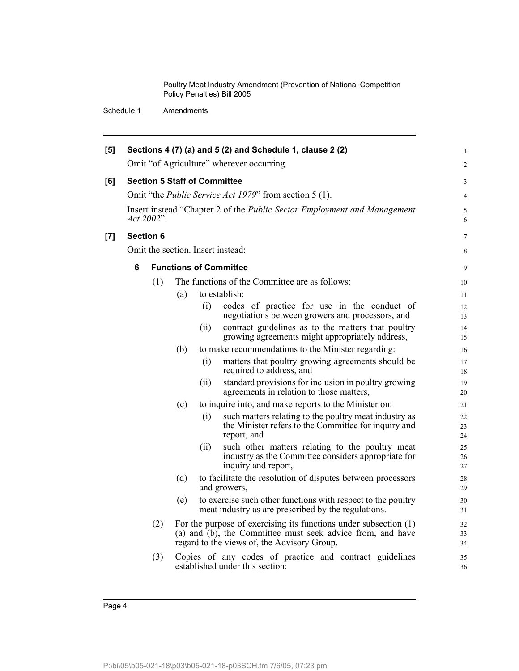Schedule 1 Amendments

| [5] |   |                  |     |      | Sections 4 (7) (a) and 5 (2) and Schedule 1, clause 2 (2)                                                                                                                       | $\mathbf{1}$   |
|-----|---|------------------|-----|------|---------------------------------------------------------------------------------------------------------------------------------------------------------------------------------|----------------|
|     |   |                  |     |      | Omit "of Agriculture" wherever occurring.                                                                                                                                       | $\overline{c}$ |
| [6] |   |                  |     |      | <b>Section 5 Staff of Committee</b>                                                                                                                                             | 3              |
|     |   |                  |     |      | Omit "the <i>Public Service Act 1979</i> " from section 5 (1).                                                                                                                  | 4              |
|     |   | Act 2002".       |     |      | Insert instead "Chapter 2 of the Public Sector Employment and Management                                                                                                        | 5<br>6         |
| [7] |   | <b>Section 6</b> |     |      |                                                                                                                                                                                 | $\overline{7}$ |
|     |   |                  |     |      | Omit the section. Insert instead:                                                                                                                                               | 8              |
|     | 6 |                  |     |      | <b>Functions of Committee</b>                                                                                                                                                   | 9              |
|     |   | (1)              |     |      | The functions of the Committee are as follows:                                                                                                                                  | 10             |
|     |   |                  | (a) |      | to establish:                                                                                                                                                                   | 11             |
|     |   |                  |     | (i)  | codes of practice for use in the conduct of<br>negotiations between growers and processors, and                                                                                 | 12<br>13       |
|     |   |                  |     | (ii) | contract guidelines as to the matters that poultry<br>growing agreements might appropriately address,                                                                           | 14<br>15       |
|     |   |                  | (b) |      | to make recommendations to the Minister regarding:                                                                                                                              | 16             |
|     |   |                  |     | (i)  | matters that poultry growing agreements should be<br>required to address, and                                                                                                   | 17<br>18       |
|     |   |                  |     | (ii) | standard provisions for inclusion in poultry growing<br>agreements in relation to those matters,                                                                                | 19<br>20       |
|     |   |                  | (c) |      | to inquire into, and make reports to the Minister on:                                                                                                                           | 21             |
|     |   |                  |     | (i)  | such matters relating to the poultry meat industry as<br>the Minister refers to the Committee for inquiry and<br>report, and                                                    | 22<br>23<br>24 |
|     |   |                  |     | (ii) | such other matters relating to the poultry meat<br>industry as the Committee considers appropriate for<br>inquiry and report,                                                   | 25<br>26<br>27 |
|     |   |                  | (d) |      | to facilitate the resolution of disputes between processors<br>and growers,                                                                                                     | 28<br>29       |
|     |   |                  | (e) |      | to exercise such other functions with respect to the poultry<br>meat industry as are prescribed by the regulations.                                                             | 30<br>31       |
|     |   | (2)              |     |      | For the purpose of exercising its functions under subsection $(1)$<br>(a) and (b), the Committee must seek advice from, and have<br>regard to the views of, the Advisory Group. | 32<br>33<br>34 |
|     |   | (3)              |     |      | Copies of any codes of practice and contract guidelines<br>established under this section:                                                                                      | 35<br>36       |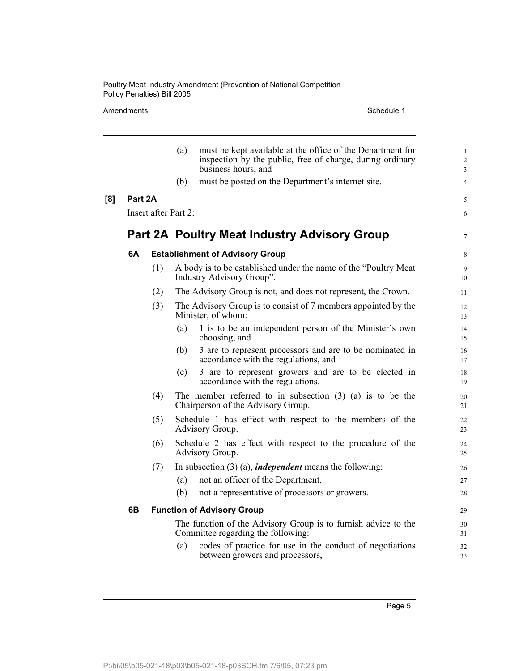Amendments Schedule 1

|     |         |                      | must be kept available at the office of the Department for<br>(a)<br>inspection by the public, free of charge, during ordinary<br>business hours, and |
|-----|---------|----------------------|-------------------------------------------------------------------------------------------------------------------------------------------------------|
|     |         |                      | (b)<br>must be posted on the Department's internet site.                                                                                              |
| [8] | Part 2A | Insert after Part 2: |                                                                                                                                                       |
|     |         |                      | Part 2A Poultry Meat Industry Advisory Group                                                                                                          |
|     | 6A      |                      | <b>Establishment of Advisory Group</b>                                                                                                                |
|     |         | (1)                  | A body is to be established under the name of the "Poultry Meat"<br>Industry Advisory Group".                                                         |
|     |         | (2)                  | The Advisory Group is not, and does not represent, the Crown.                                                                                         |
|     |         | (3)                  | The Advisory Group is to consist of 7 members appointed by the<br>Minister, of whom:                                                                  |
|     |         |                      | (a)<br>1 is to be an independent person of the Minister's own<br>choosing, and                                                                        |
|     |         |                      | 3 are to represent processors and are to be nominated in<br>(b)<br>accordance with the regulations, and                                               |
|     |         |                      | 3 are to represent growers and are to be elected in<br>(c)<br>accordance with the regulations.                                                        |
|     |         | (4)                  | The member referred to in subsection $(3)$ $(a)$ is to be the<br>Chairperson of the Advisory Group.                                                   |
|     |         | (5)                  | Schedule 1 has effect with respect to the members of the<br>Advisory Group.                                                                           |
|     |         | (6)                  | Schedule 2 has effect with respect to the procedure of the<br>Advisory Group.                                                                         |
|     |         | (7)                  | In subsection $(3)$ (a), <i>independent</i> means the following:                                                                                      |
|     |         |                      | not an officer of the Department,<br>(a)                                                                                                              |
|     |         |                      | (b)<br>not a representative of processors or growers.                                                                                                 |
|     | 6B      |                      | <b>Function of Advisory Group</b>                                                                                                                     |
|     |         |                      | The function of the Advisory Group is to furnish advice to the<br>Committee regarding the following:                                                  |
|     |         |                      | codes of practice for use in the conduct of negotiations<br>(a)<br>between growers and processors,                                                    |
|     |         |                      |                                                                                                                                                       |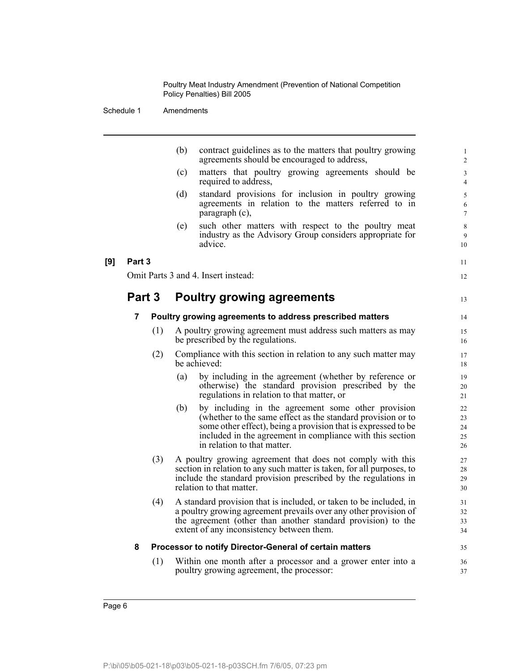Schedule 1 Amendments

**[9]** 

|        |     | (b)<br>contract guidelines as to the matters that poultry growing<br>agreements should be encouraged to address,                                                                                                                                                                      | 1<br>$\overline{2}$        |
|--------|-----|---------------------------------------------------------------------------------------------------------------------------------------------------------------------------------------------------------------------------------------------------------------------------------------|----------------------------|
|        |     | (c)<br>matters that poultry growing agreements should be<br>required to address,                                                                                                                                                                                                      | 3<br>$\overline{4}$        |
|        |     | standard provisions for inclusion in poultry growing<br>(d)<br>agreements in relation to the matters referred to in<br>paragraph (c),                                                                                                                                                 | 5<br>6<br>$\tau$           |
|        |     | such other matters with respect to the poultry meat<br>(e)<br>industry as the Advisory Group considers appropriate for<br>advice.                                                                                                                                                     | $\,$ 8 $\,$<br>9<br>10     |
| Part 3 |     |                                                                                                                                                                                                                                                                                       | 11                         |
|        |     | Omit Parts 3 and 4. Insert instead:                                                                                                                                                                                                                                                   | 12                         |
| Part 3 |     | <b>Poultry growing agreements</b>                                                                                                                                                                                                                                                     | 13                         |
| 7      |     | Poultry growing agreements to address prescribed matters                                                                                                                                                                                                                              | 14                         |
|        | (1) | A poultry growing agreement must address such matters as may<br>be prescribed by the regulations.                                                                                                                                                                                     | 15<br>16                   |
|        | (2) | Compliance with this section in relation to any such matter may<br>be achieved:                                                                                                                                                                                                       | 17<br>18                   |
|        |     | by including in the agreement (whether by reference or<br>(a)<br>otherwise) the standard provision prescribed by the<br>regulations in relation to that matter, or                                                                                                                    | 19<br>20<br>21             |
|        |     | by including in the agreement some other provision<br>(b)<br>(whether to the same effect as the standard provision or to<br>some other effect), being a provision that is expressed to be<br>included in the agreement in compliance with this section<br>in relation to that matter. | 22<br>23<br>24<br>25<br>26 |
|        | (3) | A poultry growing agreement that does not comply with this<br>section in relation to any such matter is taken, for all purposes, to<br>include the standard provision prescribed by the regulations in<br>relation to that matter.                                                    | 27<br>28<br>29<br>30       |
|        | (4) | A standard provision that is included, or taken to be included, in<br>a poultry growing agreement prevails over any other provision of<br>the agreement (other than another standard provision) to the<br>extent of any inconsistency between them.                                   | 31<br>32<br>33<br>34       |
| 8      |     | Processor to notify Director-General of certain matters                                                                                                                                                                                                                               | 35                         |
|        | (1) | Within one month after a processor and a grower enter into a<br>poultry growing agreement, the processor:                                                                                                                                                                             | 36<br>37                   |
|        |     |                                                                                                                                                                                                                                                                                       |                            |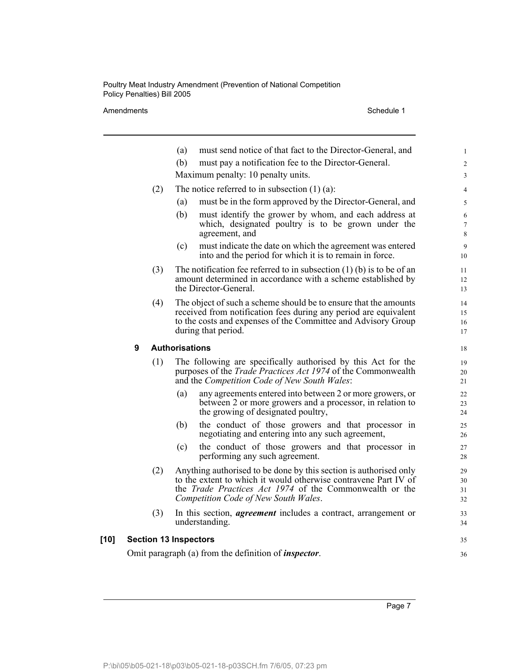Amendments Schedule 1

**[10] Section 13 Inspectors**

|   |     | must send notice of that fact to the Director-General, and<br>(a)                                                                                                                                                                       | $\mathbf{1}$             |
|---|-----|-----------------------------------------------------------------------------------------------------------------------------------------------------------------------------------------------------------------------------------------|--------------------------|
|   |     | must pay a notification fee to the Director-General.<br>(b)                                                                                                                                                                             | $\overline{2}$           |
|   |     | Maximum penalty: 10 penalty units.                                                                                                                                                                                                      | 3                        |
|   | (2) | The notice referred to in subsection $(1)$ $(a)$ :                                                                                                                                                                                      | $\overline{4}$           |
|   |     | must be in the form approved by the Director-General, and<br>(a)                                                                                                                                                                        | 5                        |
|   |     | must identify the grower by whom, and each address at<br>(b)<br>which, designated poultry is to be grown under the<br>agreement, and                                                                                                    | 6<br>$\overline{7}$<br>8 |
|   |     | (c)<br>must indicate the date on which the agreement was entered<br>into and the period for which it is to remain in force.                                                                                                             | $\mathbf{Q}$<br>10       |
|   | (3) | The notification fee referred to in subsection $(1)$ (b) is to be of an<br>amount determined in accordance with a scheme established by<br>the Director-General.                                                                        | 11<br>12<br>13           |
|   | (4) | The object of such a scheme should be to ensure that the amounts<br>received from notification fees during any period are equivalent<br>to the costs and expenses of the Committee and Advisory Group<br>during that period.            | 14<br>15<br>16<br>17     |
| 9 |     | <b>Authorisations</b>                                                                                                                                                                                                                   | 18                       |
|   | (1) | The following are specifically authorised by this Act for the<br>purposes of the <i>Trade Practices Act 1974</i> of the Commonwealth<br>and the Competition Code of New South Wales:                                                    | 19<br>20<br>21           |
|   |     | any agreements entered into between 2 or more growers, or<br>(a)<br>between 2 or more growers and a processor, in relation to<br>the growing of designated poultry,                                                                     | 22<br>23<br>24           |
|   |     | the conduct of those growers and that processor in<br>(b)<br>negotiating and entering into any such agreement,                                                                                                                          | 25<br>26                 |
|   |     | the conduct of those growers and that processor in<br>(c)<br>performing any such agreement.                                                                                                                                             | 27<br>28                 |
|   | (2) | Anything authorised to be done by this section is authorised only<br>to the extent to which it would otherwise contravene Part IV of<br>the Trade Practices Act 1974 of the Commonwealth or the<br>Competition Code of New South Wales. | 29<br>30<br>31<br>32     |
|   | (3) | In this section, <i>agreement</i> includes a contract, arrangement or<br>understanding.                                                                                                                                                 | 33<br>34                 |
|   |     | <b>Section 13 Inspectors</b>                                                                                                                                                                                                            | 35                       |
|   |     | Omit paragraph (a) from the definition of <i>inspector</i> .                                                                                                                                                                            | 36                       |
|   |     |                                                                                                                                                                                                                                         |                          |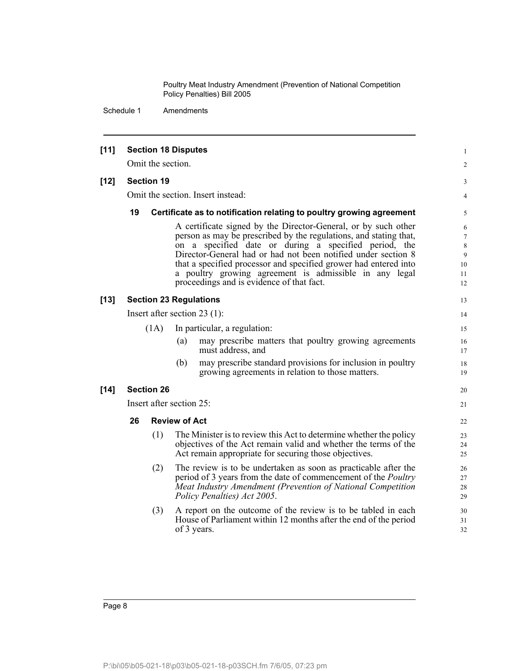Schedule 1 Amendments

| $[11]$ |      |                   | <b>Section 18 Disputes</b>   |                                                                                                                                                                                                                                                                                                                                                                                                                                          | 1                                               |
|--------|------|-------------------|------------------------------|------------------------------------------------------------------------------------------------------------------------------------------------------------------------------------------------------------------------------------------------------------------------------------------------------------------------------------------------------------------------------------------------------------------------------------------|-------------------------------------------------|
|        |      | Omit the section. |                              |                                                                                                                                                                                                                                                                                                                                                                                                                                          | $\overline{c}$                                  |
| $[12]$ |      | <b>Section 19</b> |                              |                                                                                                                                                                                                                                                                                                                                                                                                                                          | 3                                               |
|        |      |                   |                              | Omit the section. Insert instead:                                                                                                                                                                                                                                                                                                                                                                                                        | 4                                               |
|        | 19   |                   |                              | Certificate as to notification relating to poultry growing agreement                                                                                                                                                                                                                                                                                                                                                                     | 5                                               |
|        |      |                   |                              | A certificate signed by the Director-General, or by such other<br>person as may be prescribed by the regulations, and stating that,<br>on a specified date or during a specified period, the<br>Director-General had or had not been notified under section 8<br>that a specified processor and specified grower had entered into<br>a poultry growing agreement is admissible in any legal<br>proceedings and is evidence of that fact. | 6<br>$\overline{7}$<br>8<br>9<br>10<br>11<br>12 |
| $[13]$ |      |                   |                              | <b>Section 23 Regulations</b>                                                                                                                                                                                                                                                                                                                                                                                                            | 13                                              |
|        |      |                   |                              | Insert after section 23 $(1)$ :                                                                                                                                                                                                                                                                                                                                                                                                          | 14                                              |
|        | (1A) |                   | In particular, a regulation: |                                                                                                                                                                                                                                                                                                                                                                                                                                          | 15                                              |
|        |      |                   | (a)                          | may prescribe matters that poultry growing agreements<br>must address, and                                                                                                                                                                                                                                                                                                                                                               | 16<br>17                                        |
|        |      |                   | (b)                          | may prescribe standard provisions for inclusion in poultry<br>growing agreements in relation to those matters.                                                                                                                                                                                                                                                                                                                           | 18<br>19                                        |
| $[14]$ |      | <b>Section 26</b> |                              |                                                                                                                                                                                                                                                                                                                                                                                                                                          | 20                                              |
|        |      |                   | Insert after section 25:     |                                                                                                                                                                                                                                                                                                                                                                                                                                          | 21                                              |
|        | 26   |                   | <b>Review of Act</b>         |                                                                                                                                                                                                                                                                                                                                                                                                                                          | 22                                              |
|        |      | (1)               |                              | The Minister is to review this Act to determine whether the policy<br>objectives of the Act remain valid and whether the terms of the<br>Act remain appropriate for securing those objectives.                                                                                                                                                                                                                                           | 23<br>24<br>25                                  |
|        |      | (2)               |                              | The review is to be undertaken as soon as practicable after the<br>period of 3 years from the date of commencement of the <i>Poultry</i><br>Meat Industry Amendment (Prevention of National Competition<br>Policy Penalties) Act 2005.                                                                                                                                                                                                   | 26<br>27<br>28<br>29                            |
|        |      | (3)               |                              | A report on the outcome of the review is to be tabled in each<br>House of Parliament within 12 months after the end of the period<br>of 3 years.                                                                                                                                                                                                                                                                                         | 30<br>31<br>32                                  |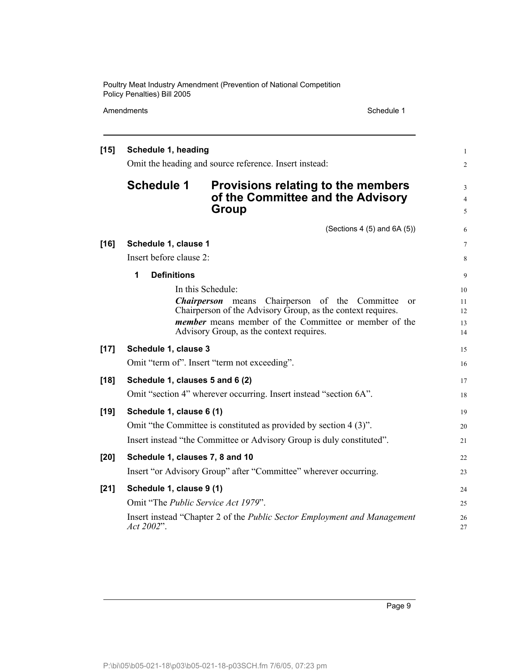Amendments Schedule 1

| $[15]$ | Schedule 1, heading<br>Omit the heading and source reference. Insert instead: |                                                                                                                             |                |  |  |  |
|--------|-------------------------------------------------------------------------------|-----------------------------------------------------------------------------------------------------------------------------|----------------|--|--|--|
|        | <b>Schedule 1</b>                                                             | Provisions relating to the members<br>of the Committee and the Advisory<br>Group                                            | 3<br>4<br>5    |  |  |  |
|        |                                                                               | (Sections 4 $(5)$ and 6A $(5)$ )                                                                                            | 6              |  |  |  |
| $[16]$ | Schedule 1, clause 1                                                          |                                                                                                                             | $\overline{7}$ |  |  |  |
|        | Insert before clause 2:                                                       |                                                                                                                             | 8              |  |  |  |
|        | <b>Definitions</b><br>1.                                                      |                                                                                                                             | 9              |  |  |  |
|        |                                                                               | In this Schedule:                                                                                                           | 10             |  |  |  |
|        |                                                                               | <b>Chairperson</b> means Chairperson of the Committee<br>$\alpha$                                                           | 11             |  |  |  |
|        |                                                                               | Chairperson of the Advisory Group, as the context requires.<br><i>member</i> means member of the Committee or member of the | 12<br>13       |  |  |  |
|        |                                                                               | Advisory Group, as the context requires.                                                                                    | 14             |  |  |  |
| $[17]$ | Schedule 1, clause 3                                                          |                                                                                                                             | 15             |  |  |  |
|        |                                                                               | Omit "term of". Insert "term not exceeding".                                                                                | 16             |  |  |  |
| $[18]$ | Schedule 1, clauses 5 and 6 (2)                                               |                                                                                                                             | 17             |  |  |  |
|        |                                                                               | Omit "section 4" wherever occurring. Insert instead "section 6A".                                                           | 18             |  |  |  |
| $[19]$ | Schedule 1, clause 6 (1)                                                      |                                                                                                                             | 19             |  |  |  |
|        |                                                                               | Omit "the Committee is constituted as provided by section 4 (3)".                                                           | 20             |  |  |  |
|        |                                                                               | Insert instead "the Committee or Advisory Group is duly constituted".                                                       | 21             |  |  |  |
| $[20]$ | Schedule 1, clauses 7, 8 and 10                                               |                                                                                                                             | 22             |  |  |  |
|        |                                                                               | Insert "or Advisory Group" after "Committee" wherever occurring.                                                            | 23             |  |  |  |
| $[21]$ | Schedule 1, clause 9 (1)                                                      |                                                                                                                             | 24             |  |  |  |
|        | Omit "The <i>Public Service Act 1979"</i> .                                   |                                                                                                                             | 25             |  |  |  |
|        | Act 2002".                                                                    | Insert instead "Chapter 2 of the Public Sector Employment and Management                                                    | 26<br>27       |  |  |  |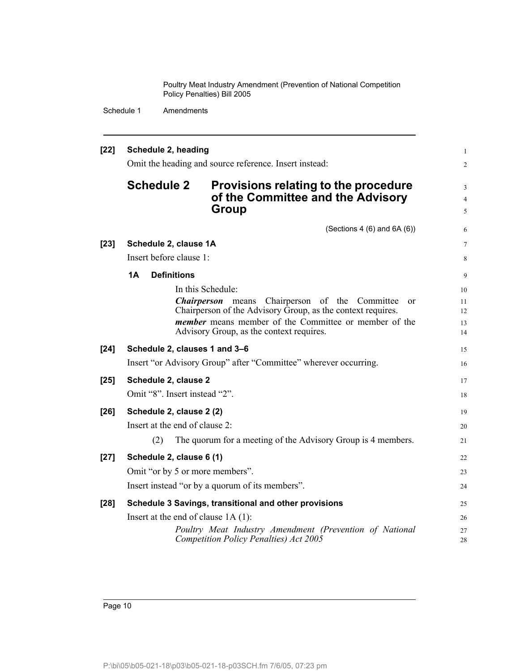Schedule 1 Amendments

#### **[22] Schedule 2, heading**

Omit the heading and source reference. Insert instead:

### **Schedule 2 Provisions relating to the procedure of the Committee and the Advisory Group**

(Sections 4 (6) and 6A (6))

1 2

3 4 5

6

| $[23]$ | Schedule 2, clause 1A                                                                                                |                      |  |  |  |
|--------|----------------------------------------------------------------------------------------------------------------------|----------------------|--|--|--|
|        | Insert before clause 1:                                                                                              | 8                    |  |  |  |
|        | <b>Definitions</b><br>1A                                                                                             | 9                    |  |  |  |
|        | In this Schedule:                                                                                                    | 10                   |  |  |  |
|        | <b>Chairperson</b> means Chairperson of the Committee<br>Chairperson of the Advisory Group, as the context requires. | $\alpha$<br>11<br>12 |  |  |  |
|        | <i>member</i> means member of the Committee or member of the<br>Advisory Group, as the context requires.             | 13<br>14             |  |  |  |
| $[24]$ | Schedule 2, clauses 1 and 3-6                                                                                        | 15                   |  |  |  |
|        | Insert "or Advisory Group" after "Committee" wherever occurring.                                                     | 16                   |  |  |  |
| $[25]$ | Schedule 2, clause 2                                                                                                 | 17                   |  |  |  |
|        | Omit "8". Insert instead "2".                                                                                        | 18                   |  |  |  |
| $[26]$ | Schedule 2, clause 2 (2)                                                                                             | 19                   |  |  |  |
|        | Insert at the end of clause 2:                                                                                       | 20                   |  |  |  |
|        | The quorum for a meeting of the Advisory Group is 4 members.<br>(2)                                                  | 21                   |  |  |  |
| $[27]$ | Schedule 2, clause 6 (1)                                                                                             | 22                   |  |  |  |
|        | Omit "or by 5 or more members".                                                                                      | 23                   |  |  |  |
|        | Insert instead "or by a quorum of its members".                                                                      | 24                   |  |  |  |
| $[28]$ | Schedule 3 Savings, transitional and other provisions                                                                | 25                   |  |  |  |
|        | Insert at the end of clause $1A(1)$ :                                                                                | 26                   |  |  |  |
|        | Poultry Meat Industry Amendment (Prevention of National<br>Competition Policy Penalties) Act 2005                    | 27<br>28             |  |  |  |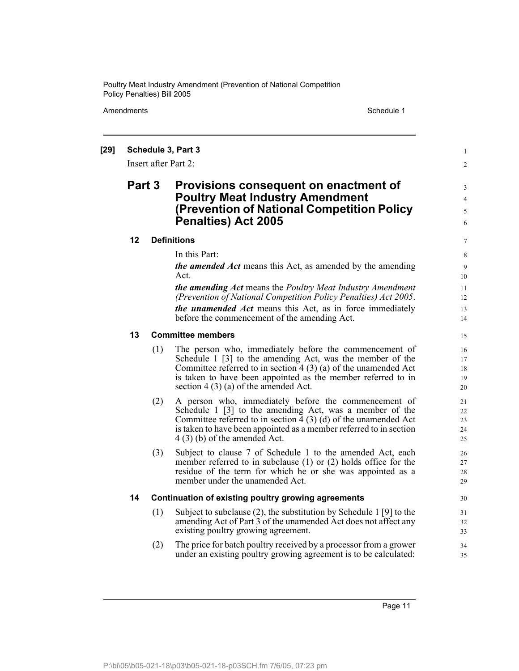Amendments Schedule 1

| $[29]$ | Schedule 3, Part 3<br>Insert after Part 2: |     |                                                                                                                                                                                                                                                                                                        |                                    |  |
|--------|--------------------------------------------|-----|--------------------------------------------------------------------------------------------------------------------------------------------------------------------------------------------------------------------------------------------------------------------------------------------------------|------------------------------------|--|
|        | Part 3                                     |     | Provisions consequent on enactment of<br><b>Poultry Meat Industry Amendment</b><br>(Prevention of National Competition Policy<br>Penalties) Act 2005                                                                                                                                                   | $\overline{c}$<br>3<br>4<br>5<br>6 |  |
|        | $12 \,$                                    |     | <b>Definitions</b>                                                                                                                                                                                                                                                                                     | $\overline{7}$                     |  |
|        |                                            |     | In this Part:                                                                                                                                                                                                                                                                                          | 8                                  |  |
|        |                                            |     | <i>the amended Act</i> means this Act, as amended by the amending<br>Act.                                                                                                                                                                                                                              | 9<br>10                            |  |
|        |                                            |     | <b>the amending Act</b> means the Poultry Meat Industry Amendment<br>(Prevention of National Competition Policy Penalties) Act 2005.                                                                                                                                                                   | 11<br>12                           |  |
|        |                                            |     | <i>the unamended Act</i> means this Act, as in force immediately<br>before the commencement of the amending Act.                                                                                                                                                                                       | 13<br>14                           |  |
|        | 13                                         |     | <b>Committee members</b>                                                                                                                                                                                                                                                                               | 15                                 |  |
|        |                                            | (1) | The person who, immediately before the commencement of<br>Schedule 1 [3] to the amending Act, was the member of the<br>Committee referred to in section $4(3)(a)$ of the unamended Act<br>is taken to have been appointed as the member referred to in<br>section $4(3)(a)$ of the amended Act.        | 16<br>17<br>18<br>19<br>20         |  |
|        |                                            | (2) | A person who, immediately before the commencement of<br>Schedule 1 [3] to the amending Act, was a member of the<br>Committee referred to in section $\overline{4}$ (3) (d) of the unamended Act<br>is taken to have been appointed as a member referred to in section<br>$4(3)(b)$ of the amended Act. | 21<br>22<br>23<br>24<br>25         |  |
|        |                                            | (3) | Subject to clause 7 of Schedule 1 to the amended Act, each<br>member referred to in subclause $(1)$ or $(2)$ holds office for the<br>residue of the term for which he or she was appointed as a<br>member under the unamended Act.                                                                     | 26<br>27<br>28<br>29               |  |
|        | 14                                         |     | Continuation of existing poultry growing agreements                                                                                                                                                                                                                                                    | 30                                 |  |
|        |                                            | (1) | Subject to subclause $(2)$ , the substitution by Schedule 1 [9] to the<br>amending Act of Part 3 of the unamended Act does not affect any<br>existing poultry growing agreement.                                                                                                                       | 31<br>32<br>33                     |  |
|        |                                            | (2) | The price for batch poultry received by a processor from a grower<br>under an existing poultry growing agreement is to be calculated:                                                                                                                                                                  | 34<br>35                           |  |

Page 11